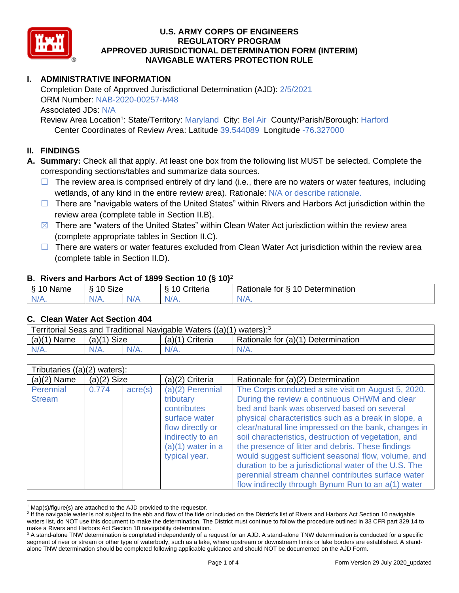

# **I. ADMINISTRATIVE INFORMATION**

Completion Date of Approved Jurisdictional Determination (AJD): 2/5/2021 ORM Number: NAB-2020-00257-M48 Associated JDs: N/A

Review Area Location<sup>1</sup>: State/Territory: Maryland City: Bel Air County/Parish/Borough: Harford Center Coordinates of Review Area: Latitude 39.544089 Longitude -76.327000

## **II. FINDINGS**

**A. Summary:** Check all that apply. At least one box from the following list MUST be selected. Complete the corresponding sections/tables and summarize data sources.

- $\Box$  The review area is comprised entirely of dry land (i.e., there are no waters or water features, including wetlands, of any kind in the entire review area). Rationale: N/A or describe rationale.
- $\Box$  There are "navigable waters of the United States" within Rivers and Harbors Act jurisdiction within the review area (complete table in Section II.B).
- $\boxtimes$  There are "waters of the United States" within Clean Water Act jurisdiction within the review area (complete appropriate tables in Section II.C).
- □ There are waters or water features excluded from Clean Water Act jurisdiction within the review area (complete table in Section II.D).

## **B. Rivers and Harbors Act of 1899 Section 10 (§ 10)**<sup>2</sup>

| Ω<br>Name | $\sim$<br>10<br>Size<br>C. |    | .<br>10<br>-<br><i>∶</i> riteria<br>ึ⊾ | -<br>Determination<br><sup>n</sup><br>tor<br>-<br>⊀ationale |
|-----------|----------------------------|----|----------------------------------------|-------------------------------------------------------------|
| N/L<br>.  | N/A.                       | N. | .                                      | N/A.                                                        |

#### **C. Clean Water Act Section 404**

| Territorial Seas and Traditional Navigable Waters ((a)(1) waters): <sup>3</sup> |               |  |                   |                                    |  |
|---------------------------------------------------------------------------------|---------------|--|-------------------|------------------------------------|--|
| $(a)(1)$ Name                                                                   | $(a)(1)$ Size |  | $(a)(1)$ Criteria | Rationale for (a)(1) Determination |  |
|                                                                                 | $N/A$ .       |  | N/A               | $N/A$ .                            |  |

| Tributaries $((a)(2)$ waters): |               |                  |                                                                                                                                                 |                                                                                                                                                                                                                                                                                                                                                                                                                                                                                                                                                                                                             |  |  |
|--------------------------------|---------------|------------------|-------------------------------------------------------------------------------------------------------------------------------------------------|-------------------------------------------------------------------------------------------------------------------------------------------------------------------------------------------------------------------------------------------------------------------------------------------------------------------------------------------------------------------------------------------------------------------------------------------------------------------------------------------------------------------------------------------------------------------------------------------------------------|--|--|
| $(a)(2)$ Name                  | $(a)(2)$ Size |                  | (a)(2) Criteria                                                                                                                                 | Rationale for (a)(2) Determination                                                                                                                                                                                                                                                                                                                                                                                                                                                                                                                                                                          |  |  |
| Perennial<br><b>Stream</b>     | 0.774         | $\text{acre}(s)$ | $(a)(2)$ Perennial<br>tributary<br>contributes<br>surface water<br>flow directly or<br>indirectly to an<br>$(a)(1)$ water in a<br>typical year. | The Corps conducted a site visit on August 5, 2020.<br>During the review a continuous OHWM and clear<br>bed and bank was observed based on several<br>physical characteristics such as a break in slope, a<br>clear/natural line impressed on the bank, changes in<br>soil characteristics, destruction of vegetation, and<br>the presence of litter and debris. These findings<br>would suggest sufficient seasonal flow, volume, and<br>duration to be a jurisdictional water of the U.S. The<br>perennial stream channel contributes surface water<br>flow indirectly through Bynum Run to an a(1) water |  |  |

 $1$  Map(s)/figure(s) are attached to the AJD provided to the requestor.

<sup>&</sup>lt;sup>2</sup> If the navigable water is not subject to the ebb and flow of the tide or included on the District's list of Rivers and Harbors Act Section 10 navigable waters list, do NOT use this document to make the determination. The District must continue to follow the procedure outlined in 33 CFR part 329.14 to make a Rivers and Harbors Act Section 10 navigability determination.

<sup>&</sup>lt;sup>3</sup> A stand-alone TNW determination is completed independently of a request for an AJD. A stand-alone TNW determination is conducted for a specific segment of river or stream or other type of waterbody, such as a lake, where upstream or downstream limits or lake borders are established. A standalone TNW determination should be completed following applicable guidance and should NOT be documented on the AJD Form.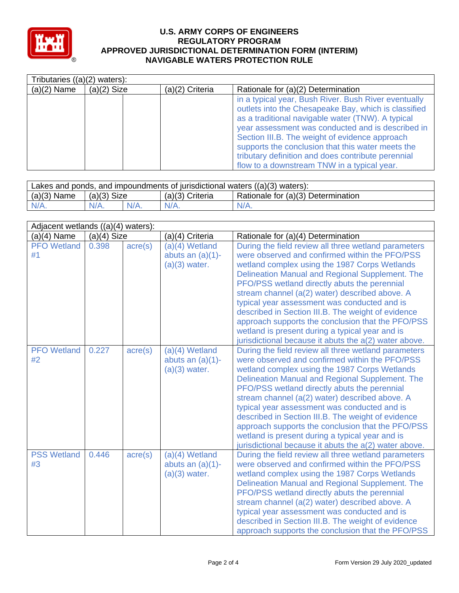

|               | Tributaries $((a)(2)$ waters): |                 |                                                                                                                                                                                                                                                                                                                                                                                                                                    |  |  |
|---------------|--------------------------------|-----------------|------------------------------------------------------------------------------------------------------------------------------------------------------------------------------------------------------------------------------------------------------------------------------------------------------------------------------------------------------------------------------------------------------------------------------------|--|--|
| $(a)(2)$ Name | $(a)(2)$ Size                  | (a)(2) Criteria | Rationale for (a)(2) Determination                                                                                                                                                                                                                                                                                                                                                                                                 |  |  |
|               |                                |                 | in a typical year, Bush River. Bush River eventually<br>outlets into the Chesapeake Bay, which is classified<br>as a traditional navigable water (TNW). A typical<br>year assessment was conducted and is described in<br>Section III.B. The weight of evidence approach<br>supports the conclusion that this water meets the<br>tributary definition and does contribute perennial<br>flow to a downstream TNW in a typical year. |  |  |

| Lakes and ponds, and impoundments of jurisdictional waters $((a)(3)$ waters): |               |         |                   |                                    |  |  |
|-------------------------------------------------------------------------------|---------------|---------|-------------------|------------------------------------|--|--|
| $(a)(3)$ Name                                                                 | $(a)(3)$ Size |         | $(a)(3)$ Criteria | Rationale for (a)(3) Determination |  |  |
| $N/A$ .                                                                       | $N/A$ .       | $N/A$ . | $N/A$ .           | $N/A$ .                            |  |  |

| Adjacent wetlands ((a)(4) waters): |               |                  |                                                            |                                                                                                                                                                                                                                                                                                                                                                                                                                                                                                                                                                                     |  |
|------------------------------------|---------------|------------------|------------------------------------------------------------|-------------------------------------------------------------------------------------------------------------------------------------------------------------------------------------------------------------------------------------------------------------------------------------------------------------------------------------------------------------------------------------------------------------------------------------------------------------------------------------------------------------------------------------------------------------------------------------|--|
| $(a)(4)$ Name                      | $(a)(4)$ Size |                  | (a)(4) Criteria                                            | Rationale for (a)(4) Determination                                                                                                                                                                                                                                                                                                                                                                                                                                                                                                                                                  |  |
| <b>PFO</b> Wetland<br>#1           | 0.398         | $\text{acre}(s)$ | $(a)(4)$ Wetland<br>abuts an $(a)(1)$ -<br>$(a)(3)$ water. | During the field review all three wetland parameters<br>were observed and confirmed within the PFO/PSS<br>wetland complex using the 1987 Corps Wetlands<br>Delineation Manual and Regional Supplement. The<br>PFO/PSS wetland directly abuts the perennial<br>stream channel (a(2) water) described above. A<br>typical year assessment was conducted and is<br>described in Section III.B. The weight of evidence<br>approach supports the conclusion that the PFO/PSS<br>wetland is present during a typical year and is<br>jurisdictional because it abuts the a(2) water above. |  |
| <b>PFO</b> Wetland<br>#2           | 0.227         | $\text{acre}(s)$ | (a)(4) Wetland<br>abuts an $(a)(1)$ -<br>$(a)(3)$ water.   | During the field review all three wetland parameters<br>were observed and confirmed within the PFO/PSS<br>wetland complex using the 1987 Corps Wetlands<br>Delineation Manual and Regional Supplement. The<br>PFO/PSS wetland directly abuts the perennial<br>stream channel (a(2) water) described above. A<br>typical year assessment was conducted and is<br>described in Section III.B. The weight of evidence<br>approach supports the conclusion that the PFO/PSS<br>wetland is present during a typical year and is<br>jurisdictional because it abuts the a(2) water above. |  |
| <b>PSS Wetland</b><br>#3           | 0.446         | $\text{acre}(s)$ | (a)(4) Wetland<br>abuts an $(a)(1)$ -<br>$(a)(3)$ water.   | During the field review all three wetland parameters<br>were observed and confirmed within the PFO/PSS<br>wetland complex using the 1987 Corps Wetlands<br>Delineation Manual and Regional Supplement. The<br>PFO/PSS wetland directly abuts the perennial<br>stream channel (a(2) water) described above. A<br>typical year assessment was conducted and is<br>described in Section III.B. The weight of evidence<br>approach supports the conclusion that the PFO/PSS                                                                                                             |  |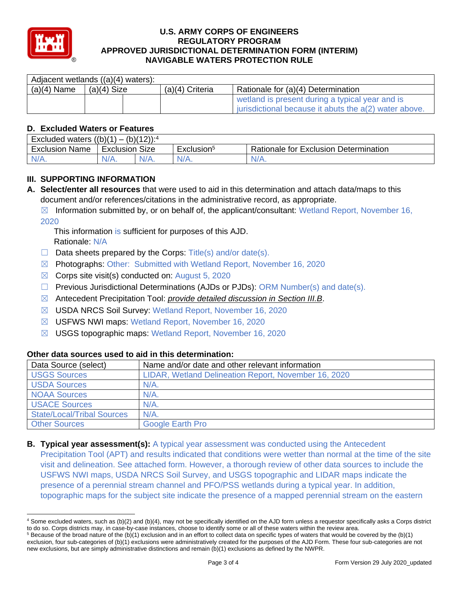

| Adjacent wetlands ((a)(4) waters): |               |                 |                                                                                                          |  |  |
|------------------------------------|---------------|-----------------|----------------------------------------------------------------------------------------------------------|--|--|
| $(a)(4)$ Name                      | $(a)(4)$ Size | (a)(4) Criteria | Rationale for (a)(4) Determination                                                                       |  |  |
|                                    |               |                 | wetland is present during a typical year and is<br>jurisdictional because it abuts the a(2) water above. |  |  |

# **D. Excluded Waters or Features**

| $_1) - (b)(12)$ : <sup>4</sup><br>Excluded waters $((b)(1))$ |                   |  |                        |                                       |  |
|--------------------------------------------------------------|-------------------|--|------------------------|---------------------------------------|--|
| <b>Exclusion Name</b>                                        | Size<br>Exclusion |  | Exclusion <sup>5</sup> | Rationale for Exclusion Determination |  |
| $N/A$ .                                                      | N/A.              |  | $N/A$ .                | N/A.                                  |  |

# **III. SUPPORTING INFORMATION**

**A. Select/enter all resources** that were used to aid in this determination and attach data/maps to this document and/or references/citations in the administrative record, as appropriate.

 $\boxtimes$  Information submitted by, or on behalf of, the applicant/consultant: Wetland Report, November 16, 2020

This information is sufficient for purposes of this AJD. Rationale: N/A

- $\Box$  Data sheets prepared by the Corps: Title(s) and/or date(s).
- ☒ Photographs: Other: Submitted with Wetland Report, November 16, 2020
- $\boxtimes$  Corps site visit(s) conducted on: August 5, 2020
- $\Box$  Previous Jurisdictional Determinations (AJDs or PJDs): ORM Number(s) and date(s).
- ☒ Antecedent Precipitation Tool: *provide detailed discussion in Section III.B*.
- ☒ USDA NRCS Soil Survey: Wetland Report, November 16, 2020
- ☒ USFWS NWI maps: Wetland Report, November 16, 2020
- ☒ USGS topographic maps: Wetland Report, November 16, 2020

#### **Other data sources used to aid in this determination:**

| Data Source (select)              | Name and/or date and other relevant information      |
|-----------------------------------|------------------------------------------------------|
| <b>USGS Sources</b>               | LIDAR, Wetland Delineation Report, November 16, 2020 |
| <b>USDA Sources</b>               | $N/A$ .                                              |
| <b>NOAA Sources</b>               | $N/A$ .                                              |
| <b>I USACE Sources</b>            | $N/A$ .                                              |
| <b>State/Local/Tribal Sources</b> | $N/A$ .                                              |
| <b>Other Sources</b>              | Google Earth Pro                                     |

**B. Typical year assessment(s):** A typical year assessment was conducted using the Antecedent Precipitation Tool (APT) and results indicated that conditions were wetter than normal at the time of the site visit and delineation. See attached form. However, a thorough review of other data sources to include the USFWS NWI maps, USDA NRCS Soil Survey, and USGS topographic and LIDAR maps indicate the presence of a perennial stream channel and PFO/PSS wetlands during a typical year. In addition, topographic maps for the subject site indicate the presence of a mapped perennial stream on the eastern

<sup>4</sup> Some excluded waters, such as (b)(2) and (b)(4), may not be specifically identified on the AJD form unless a requestor specifically asks a Corps district to do so. Corps districts may, in case-by-case instances, choose to identify some or all of these waters within the review area.

 $5$  Because of the broad nature of the (b)(1) exclusion and in an effort to collect data on specific types of waters that would be covered by the (b)(1) exclusion, four sub-categories of (b)(1) exclusions were administratively created for the purposes of the AJD Form. These four sub-categories are not new exclusions, but are simply administrative distinctions and remain (b)(1) exclusions as defined by the NWPR.